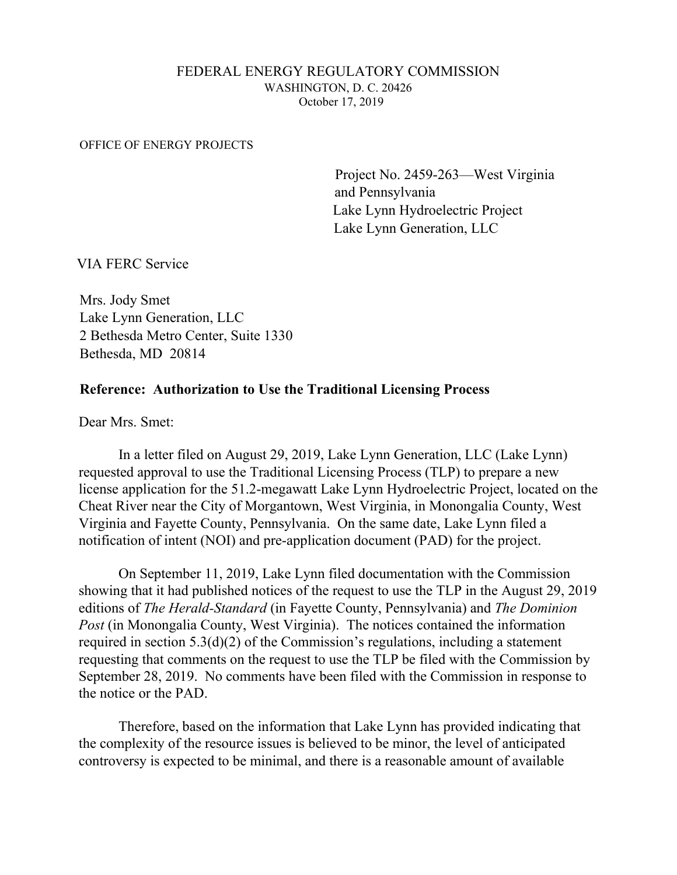## FEDERAL ENERGY REGULATORY COMMISSION WASHINGTON, D. C. 20426 October 17, 2019

## OFFICE OF ENERGY PROJECTS

 Project No. 2459-263—West Virginia and Pennsylvania Lake Lynn Hydroelectric Project Lake Lynn Generation, LLC

VIA FERC Service

Mrs. Jody Smet Lake Lynn Generation, LLC 2 Bethesda Metro Center, Suite 1330 Bethesda, MD 20814

## **Reference: Authorization to Use the Traditional Licensing Process**

Dear Mrs. Smet:

In a letter filed on August 29, 2019, Lake Lynn Generation, LLC (Lake Lynn) requested approval to use the Traditional Licensing Process (TLP) to prepare a new license application for the 51.2-megawatt Lake Lynn Hydroelectric Project, located on the Cheat River near the City of Morgantown, West Virginia, in Monongalia County, West Virginia and Fayette County, Pennsylvania. On the same date, Lake Lynn filed a notification of intent (NOI) and pre-application document (PAD) for the project.

On September 11, 2019, Lake Lynn filed documentation with the Commission showing that it had published notices of the request to use the TLP in the August 29, 2019 editions of *The Herald-Standard* (in Fayette County, Pennsylvania) and *The Dominion Post* (in Monongalia County, West Virginia). The notices contained the information required in section 5.3(d)(2) of the Commission's regulations, including a statement requesting that comments on the request to use the TLP be filed with the Commission by September 28, 2019. No comments have been filed with the Commission in response to the notice or the PAD.

Therefore, based on the information that Lake Lynn has provided indicating that the complexity of the resource issues is believed to be minor, the level of anticipated controversy is expected to be minimal, and there is a reasonable amount of available